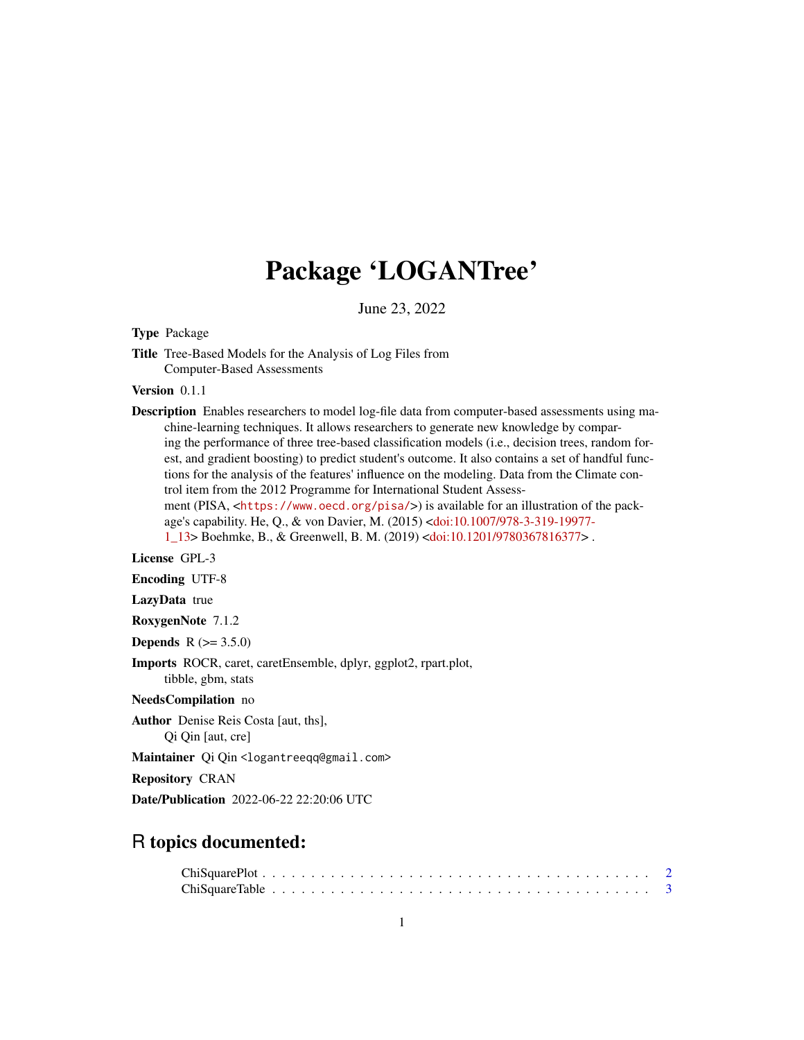## Package 'LOGANTree'

June 23, 2022

Type Package

Title Tree-Based Models for the Analysis of Log Files from Computer-Based Assessments

Version 0.1.1

Description Enables researchers to model log-file data from computer-based assessments using machine-learning techniques. It allows researchers to generate new knowledge by comparing the performance of three tree-based classification models (i.e., decision trees, random forest, and gradient boosting) to predict student's outcome. It also contains a set of handful functions for the analysis of the features' influence on the modeling. Data from the Climate control item from the 2012 Programme for International Student Assessment (PISA, <<https://www.oecd.org/pisa/>>) is available for an illustration of the package's capability. He, Q., & von Davier, M. (2015) [<doi:10.1007/978-3-319-19977-](https://doi.org/10.1007/978-3-319-19977-1_13)

[1\\_13>](https://doi.org/10.1007/978-3-319-19977-1_13) Boehmke, B., & Greenwell, B. M. (2019) [<doi:10.1201/9780367816377>](https://doi.org/10.1201/9780367816377) .

License GPL-3

Encoding UTF-8

LazyData true

RoxygenNote 7.1.2

**Depends** R  $(>= 3.5.0)$ 

Imports ROCR, caret, caretEnsemble, dplyr, ggplot2, rpart.plot, tibble, gbm, stats

NeedsCompilation no

Author Denise Reis Costa [aut, ths], Qi Qin [aut, cre]

Maintainer Qi Qin <logantreeqq@gmail.com>

Repository CRAN

Date/Publication 2022-06-22 22:20:06 UTC

## R topics documented: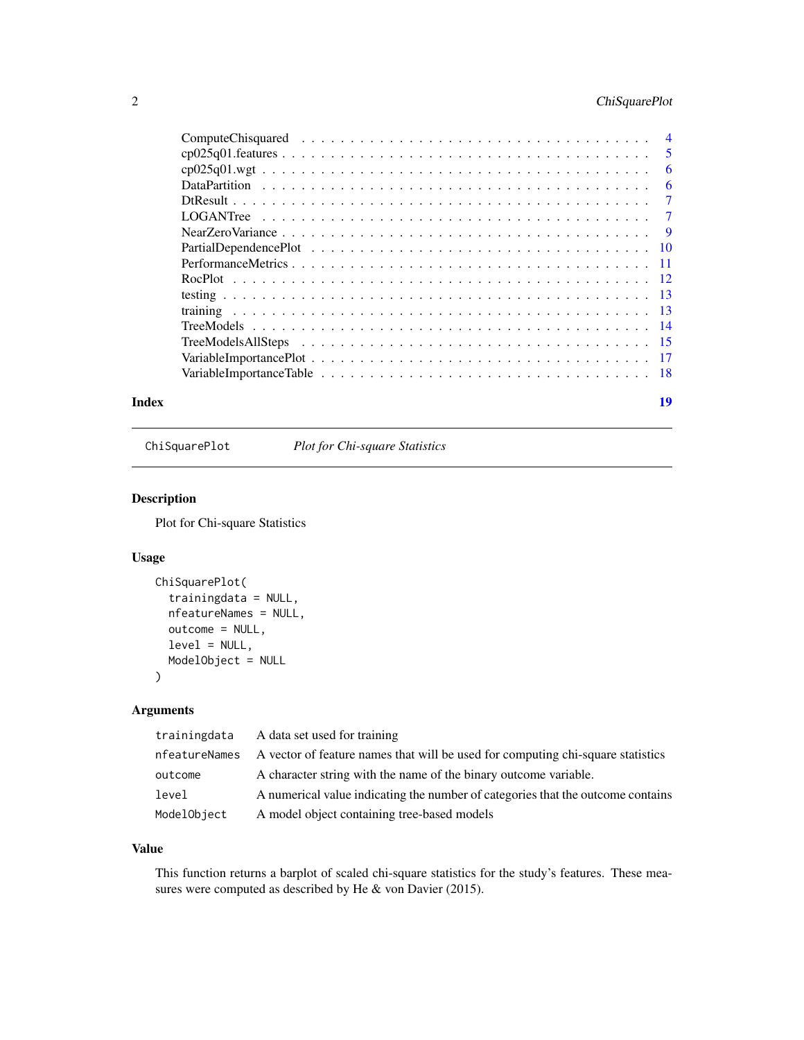## <span id="page-1-0"></span>2 ChiSquarePlot

| $\overline{4}$ |
|----------------|
| 5              |
| 6              |
| 6              |
| 7              |
| 7              |
| - 9            |
| - 10           |
| $-11$          |
|                |
|                |
|                |
|                |
|                |
|                |
|                |
|                |

#### **Index** 2008 **[19](#page-18-0)99**

ChiSquarePlot *Plot for Chi-square Statistics*

## Description

Plot for Chi-square Statistics

## Usage

```
ChiSquarePlot(
  trainingdata = NULL,
  nfeatureNames = NULL,
 outcome = NULL,
  level = NULL,
 ModelObject = NULL
)
```
## Arguments

| trainingdata  | A data set used for training                                                    |
|---------------|---------------------------------------------------------------------------------|
| nfeatureNames | A vector of feature names that will be used for computing chi-square statistics |
| outcome       | A character string with the name of the binary outcome variable.                |
| level         | A numerical value indicating the number of categories that the outcome contains |
| ModelObject   | A model object containing tree-based models                                     |

## Value

This function returns a barplot of scaled chi-square statistics for the study's features. These measures were computed as described by He & von Davier (2015).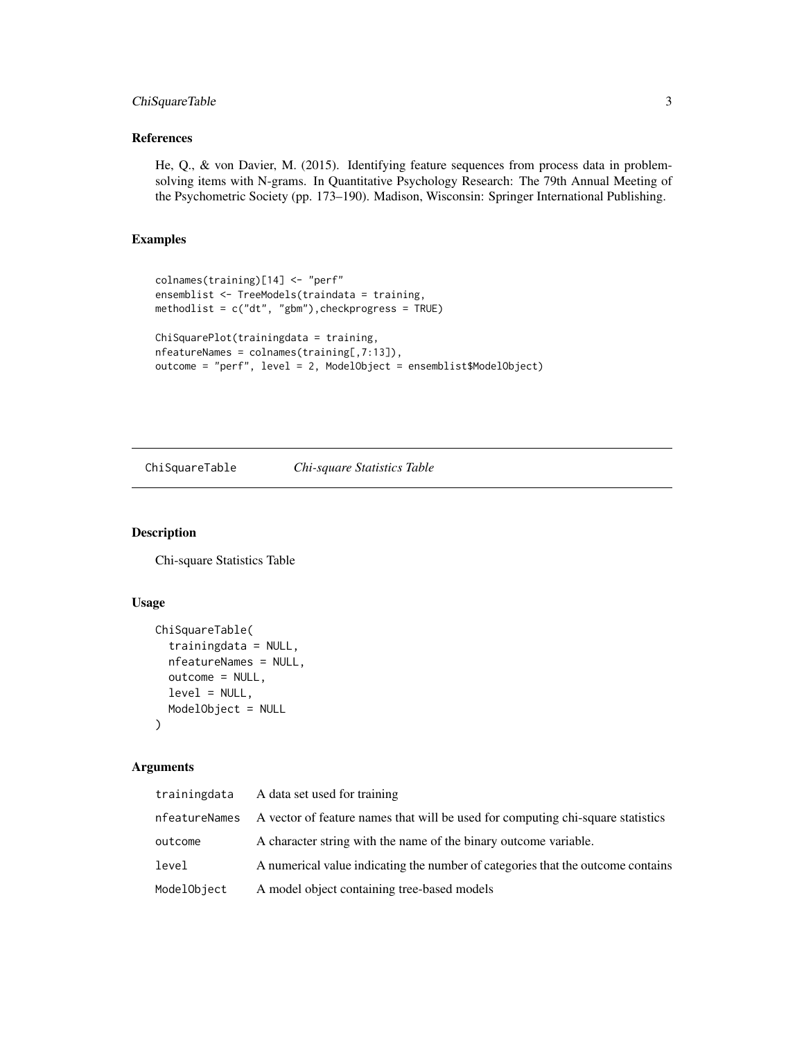## <span id="page-2-0"></span>ChiSquareTable 3

## References

He, Q., & von Davier, M. (2015). Identifying feature sequences from process data in problemsolving items with N-grams. In Quantitative Psychology Research: The 79th Annual Meeting of the Psychometric Society (pp. 173–190). Madison, Wisconsin: Springer International Publishing.

## Examples

```
colnames(training)[14] <- "perf"
ensemblist <- TreeModels(traindata = training,
methodlist = c("dt", "gbm"),checkprogress = TRUE)
ChiSquarePlot(trainingdata = training,
nfeatureNames = colnames(training[,7:13]),
```
outcome = "perf", level = 2, ModelObject = ensemblist\$ModelObject)

ChiSquareTable *Chi-square Statistics Table*

#### Description

Chi-square Statistics Table

#### Usage

```
ChiSquareTable(
  trainingdata = NULL,
  nfeatureNames = NULL,
 outcome = NULL,
  level = NULL,
 ModelObject = NULL
)
```
## Arguments

| trainingdata  | A data set used for training                                                    |
|---------------|---------------------------------------------------------------------------------|
| nfeatureNames | A vector of feature names that will be used for computing chi-square statistics |
| outcome       | A character string with the name of the binary outcome variable.                |
| level         | A numerical value indicating the number of categories that the outcome contains |
| ModelObject   | A model object containing tree-based models                                     |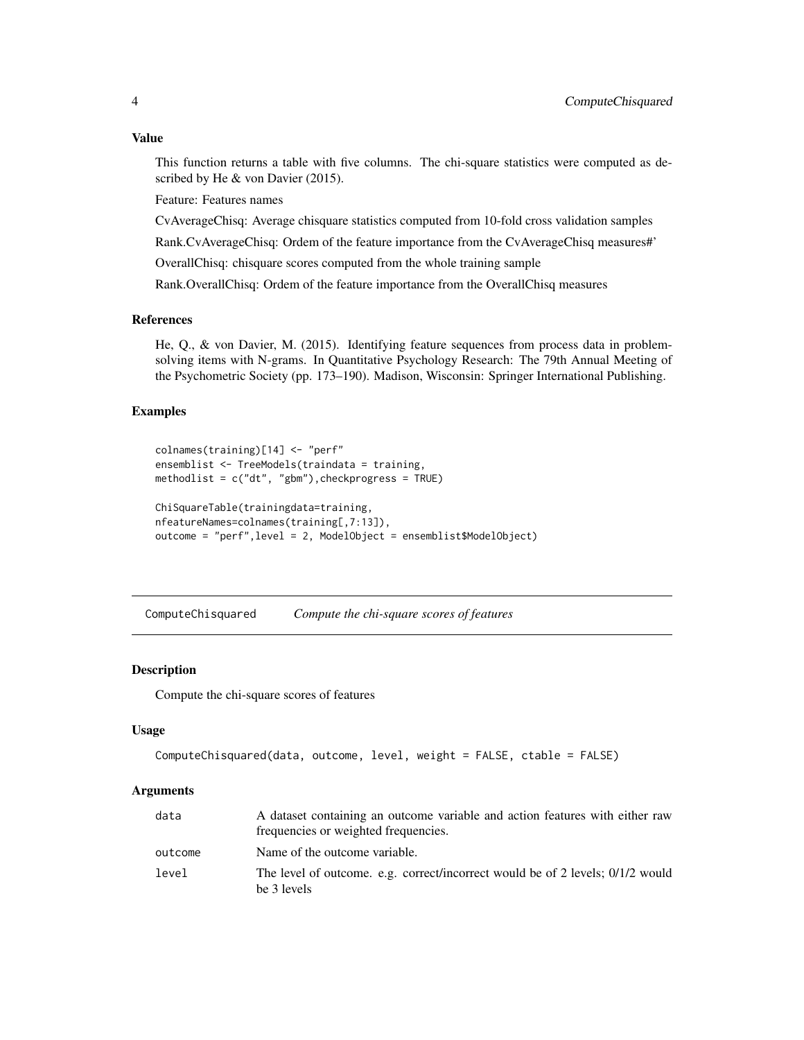## <span id="page-3-0"></span>Value

This function returns a table with five columns. The chi-square statistics were computed as described by He & von Davier (2015).

Feature: Features names

CvAverageChisq: Average chisquare statistics computed from 10-fold cross validation samples

Rank.CvAverageChisq: Ordem of the feature importance from the CvAverageChisq measures#'

OverallChisq: chisquare scores computed from the whole training sample

Rank.OverallChisq: Ordem of the feature importance from the OverallChisq measures

## References

He, Q., & von Davier, M. (2015). Identifying feature sequences from process data in problemsolving items with N-grams. In Quantitative Psychology Research: The 79th Annual Meeting of the Psychometric Society (pp. 173–190). Madison, Wisconsin: Springer International Publishing.

### Examples

```
colnames(training)[14] <- "perf"
ensemblist <- TreeModels(traindata = training,
methodlist = c("dt", "gbm"), checkprogress = TRUE)
ChiSquareTable(trainingdata=training,
nfeatureNames=colnames(training[,7:13]),
outcome = "perf",level = 2, ModelObject = ensemblist$ModelObject)
```
ComputeChisquared *Compute the chi-square scores of features*

## Description

Compute the chi-square scores of features

## Usage

```
ComputeChisquared(data, outcome, level, weight = FALSE, ctable = FALSE)
```
#### Arguments

| data    | A dataset containing an outcome variable and action features with either raw<br>frequencies or weighted frequencies. |
|---------|----------------------------------------------------------------------------------------------------------------------|
| outcome | Name of the outcome variable.                                                                                        |
| level   | The level of outcome. e.g. correct/incorrect would be of 2 levels; 0/1/2 would<br>be 3 levels                        |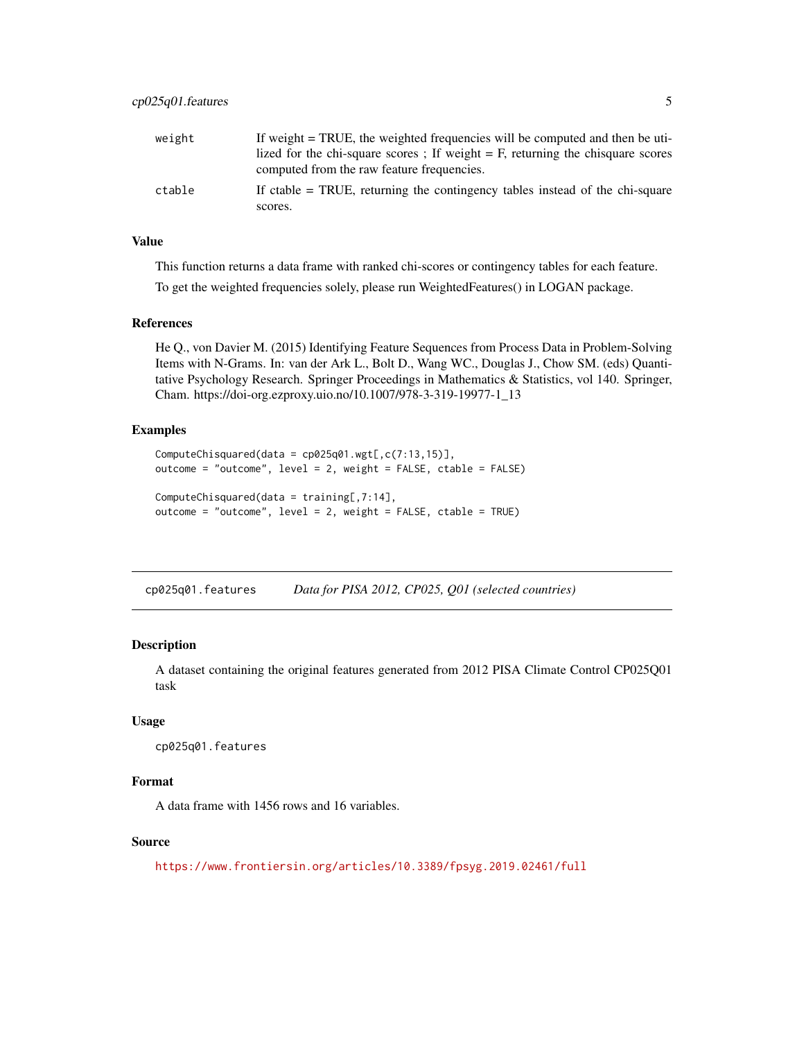<span id="page-4-0"></span>

| weight | If weight = TRUE, the weighted frequencies will be computed and then be uti-<br>lized for the chi-square scores; If weight $=$ F, returning the chisquare scores |
|--------|------------------------------------------------------------------------------------------------------------------------------------------------------------------|
|        | computed from the raw feature frequencies.                                                                                                                       |
| ctable | If ctable $=$ TRUE, returning the contingency tables instead of the chi-square                                                                                   |
|        | scores.                                                                                                                                                          |

#### Value

This function returns a data frame with ranked chi-scores or contingency tables for each feature.

To get the weighted frequencies solely, please run WeightedFeatures() in LOGAN package.

#### References

He Q., von Davier M. (2015) Identifying Feature Sequences from Process Data in Problem-Solving Items with N-Grams. In: van der Ark L., Bolt D., Wang WC., Douglas J., Chow SM. (eds) Quantitative Psychology Research. Springer Proceedings in Mathematics & Statistics, vol 140. Springer, Cham. https://doi-org.ezproxy.uio.no/10.1007/978-3-319-19977-1\_13

## Examples

```
ComputeChisquared(data = cp025q01.wgt[, c(7:13,15)],outcome = "outcome", level = 2, weight = FALSE, ctable = FALSE)
ComputeChisquared(data = training[,7:14],
```

```
outcome = "outcome", level = 2, weight = FALSE, ctable = TRUE)
```
cp025q01.features *Data for PISA 2012, CP025, Q01 (selected countries)*

#### Description

A dataset containing the original features generated from 2012 PISA Climate Control CP025Q01 task

## Usage

```
cp025q01.features
```
## Format

A data frame with 1456 rows and 16 variables.

## Source

<https://www.frontiersin.org/articles/10.3389/fpsyg.2019.02461/full>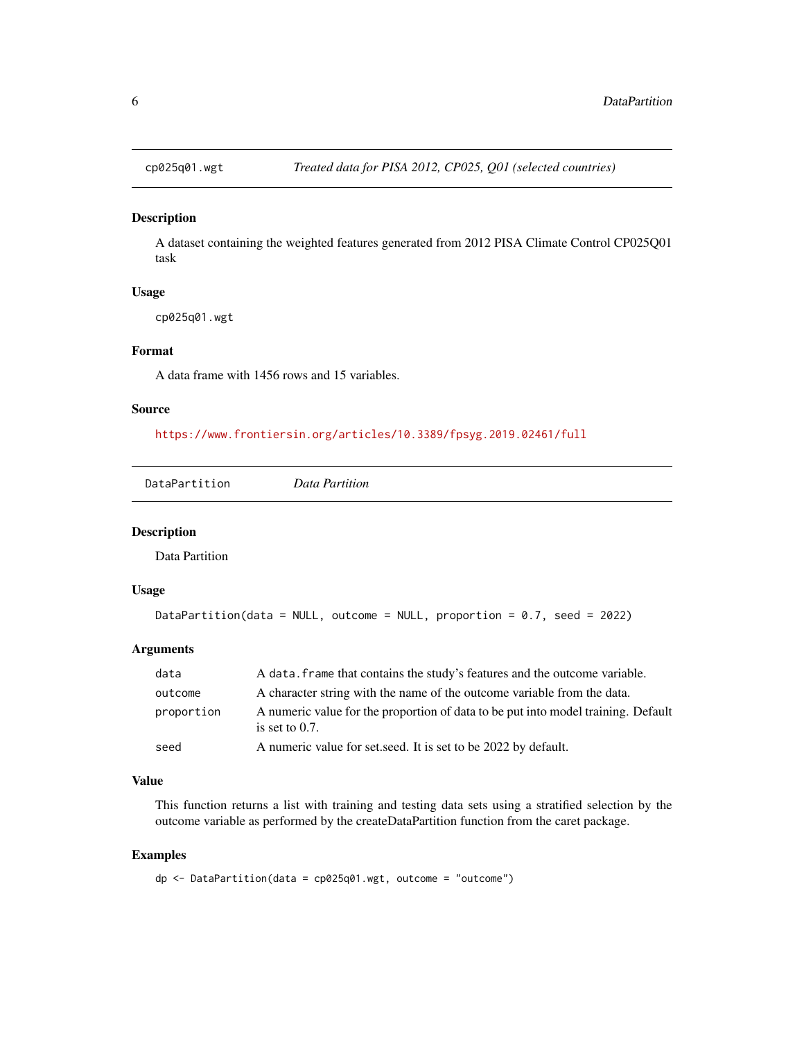<span id="page-5-0"></span>

A dataset containing the weighted features generated from 2012 PISA Climate Control CP025Q01 task

## Usage

cp025q01.wgt

## Format

A data frame with 1456 rows and 15 variables.

#### Source

<https://www.frontiersin.org/articles/10.3389/fpsyg.2019.02461/full>

DataPartition *Data Partition*

## Description

Data Partition

### Usage

```
DataPartition(data = NULL, outcome = NULL, proportion = 0.7, seed = 2022)
```
## Arguments

| data       | A data. frame that contains the study's features and the outcome variable.                             |
|------------|--------------------------------------------------------------------------------------------------------|
| outcome    | A character string with the name of the outcome variable from the data.                                |
| proportion | A numeric value for the proportion of data to be put into model training. Default<br>is set to $0.7$ . |
| seed       | A numeric value for set seed. It is set to be 2022 by default.                                         |

## Value

This function returns a list with training and testing data sets using a stratified selection by the outcome variable as performed by the createDataPartition function from the caret package.

#### Examples

dp <- DataPartition(data = cp025q01.wgt, outcome = "outcome")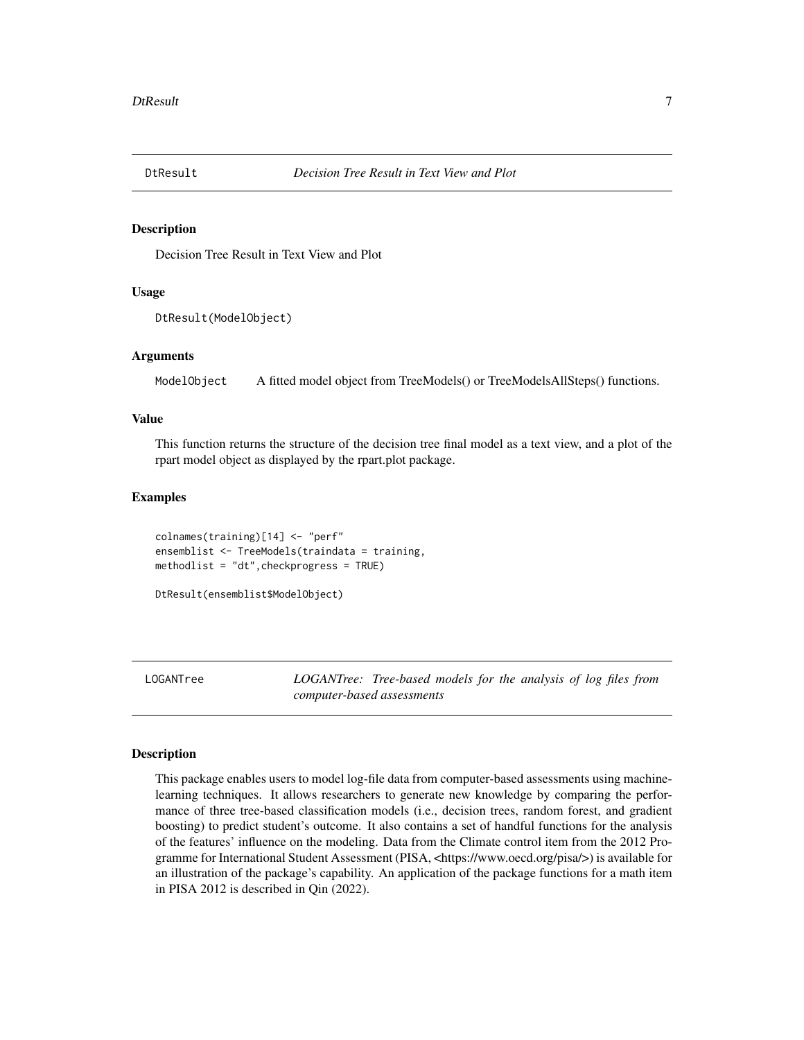<span id="page-6-0"></span>

Decision Tree Result in Text View and Plot

#### Usage

```
DtResult(ModelObject)
```
## **Arguments**

ModelObject A fitted model object from TreeModels() or TreeModelsAllSteps() functions.

### Value

This function returns the structure of the decision tree final model as a text view, and a plot of the rpart model object as displayed by the rpart.plot package.

## Examples

```
colnames(training)[14] <- "perf"
ensemblist <- TreeModels(traindata = training,
methodlist = "dt",checkprogress = TRUE)
```

```
DtResult(ensemblist$ModelObject)
```
LOGANTree *LOGANTree: Tree-based models for the analysis of log files from computer-based assessments*

#### Description

This package enables users to model log-file data from computer-based assessments using machinelearning techniques. It allows researchers to generate new knowledge by comparing the performance of three tree-based classification models (i.e., decision trees, random forest, and gradient boosting) to predict student's outcome. It also contains a set of handful functions for the analysis of the features' influence on the modeling. Data from the Climate control item from the 2012 Programme for International Student Assessment (PISA, <https://www.oecd.org/pisa/>) is available for an illustration of the package's capability. An application of the package functions for a math item in PISA 2012 is described in Qin (2022).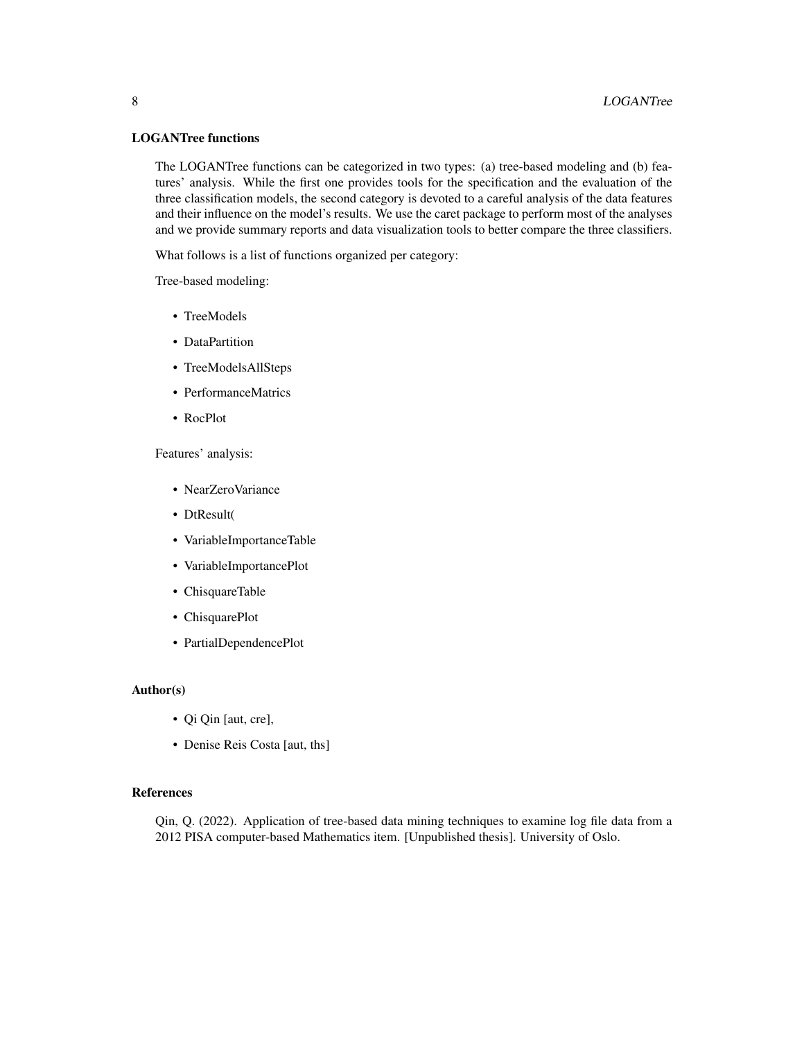## LOGANTree functions

The LOGANTree functions can be categorized in two types: (a) tree-based modeling and (b) features' analysis. While the first one provides tools for the specification and the evaluation of the three classification models, the second category is devoted to a careful analysis of the data features and their influence on the model's results. We use the caret package to perform most of the analyses and we provide summary reports and data visualization tools to better compare the three classifiers.

What follows is a list of functions organized per category:

Tree-based modeling:

- TreeModels
- DataPartition
- TreeModelsAllSteps
- PerformanceMatrics
- RocPlot

Features' analysis:

- NearZeroVariance
- DtResult(
- VariableImportanceTable
- VariableImportancePlot
- ChisquareTable
- ChisquarePlot
- PartialDependencePlot

#### Author(s)

- Qi Qin [aut, cre],
- Denise Reis Costa [aut, ths]

#### References

Qin, Q. (2022). Application of tree-based data mining techniques to examine log file data from a 2012 PISA computer-based Mathematics item. [Unpublished thesis]. University of Oslo.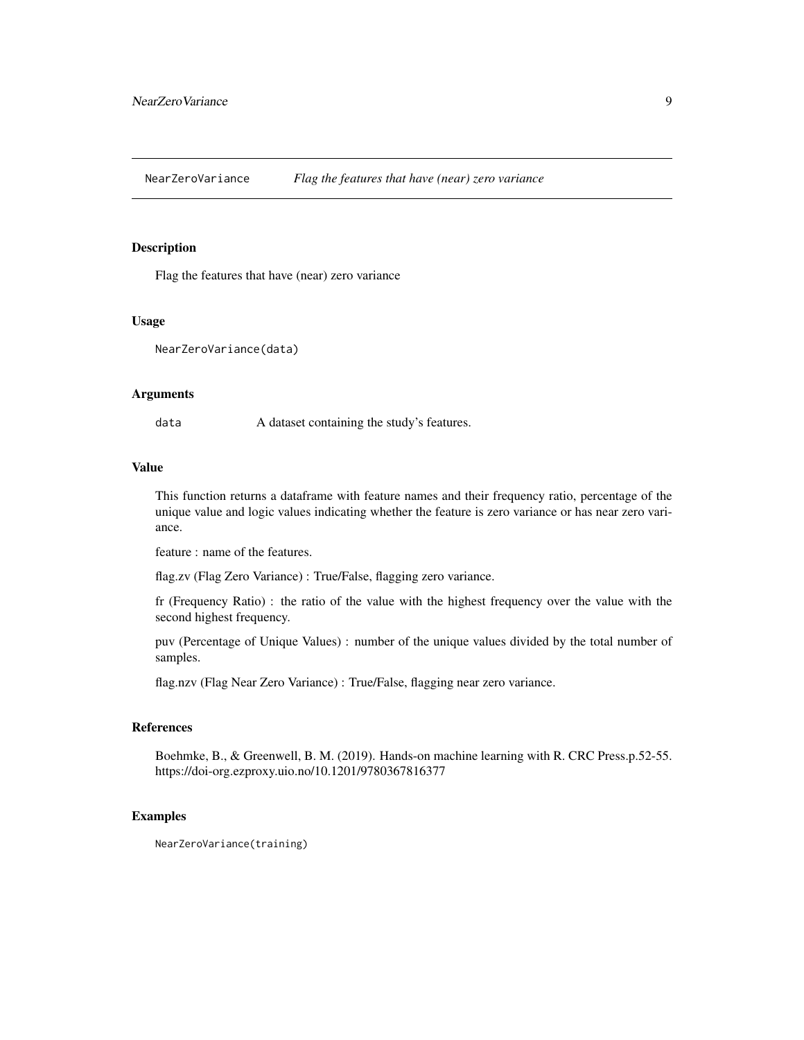<span id="page-8-0"></span>NearZeroVariance *Flag the features that have (near) zero variance*

#### Description

Flag the features that have (near) zero variance

#### Usage

NearZeroVariance(data)

#### Arguments

data A dataset containing the study's features.

#### Value

This function returns a dataframe with feature names and their frequency ratio, percentage of the unique value and logic values indicating whether the feature is zero variance or has near zero variance.

feature : name of the features.

flag.zv (Flag Zero Variance) : True/False, flagging zero variance.

fr (Frequency Ratio) : the ratio of the value with the highest frequency over the value with the second highest frequency.

puv (Percentage of Unique Values) : number of the unique values divided by the total number of samples.

flag.nzv (Flag Near Zero Variance) : True/False, flagging near zero variance.

#### References

Boehmke, B., & Greenwell, B. M. (2019). Hands-on machine learning with R. CRC Press.p.52-55. https://doi-org.ezproxy.uio.no/10.1201/9780367816377

#### Examples

NearZeroVariance(training)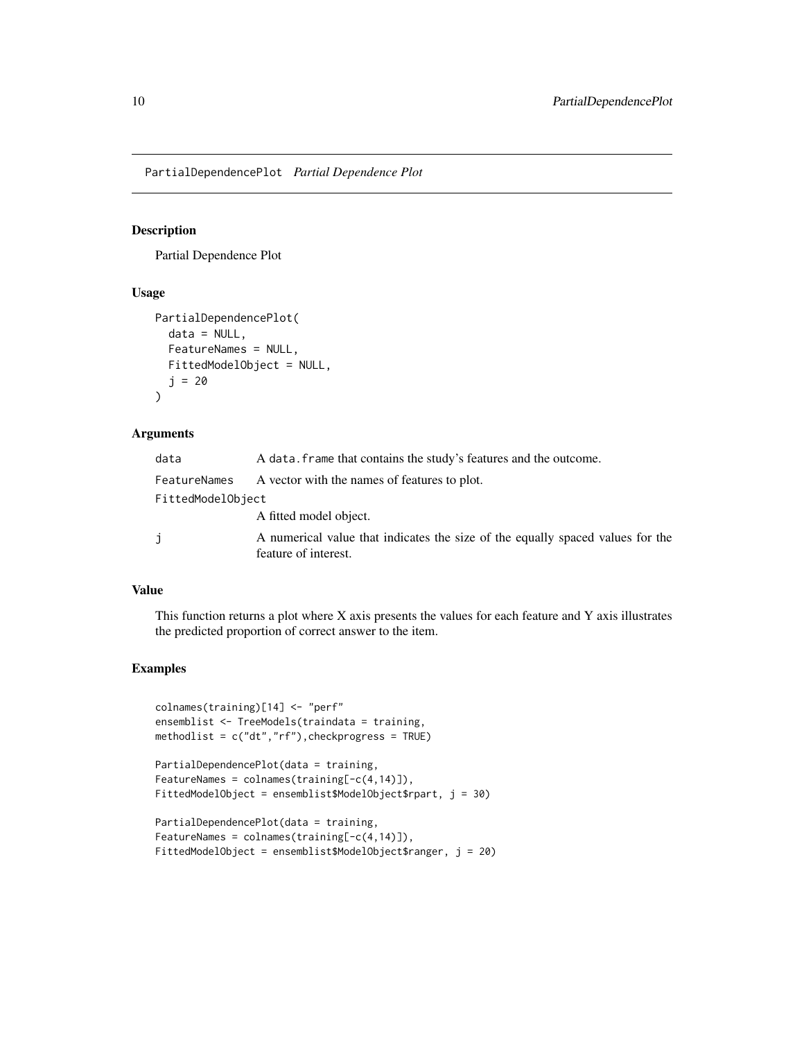<span id="page-9-0"></span>PartialDependencePlot *Partial Dependence Plot*

## Description

Partial Dependence Plot

## Usage

```
PartialDependencePlot(
  data = NULL,
  FeatureNames = NULL,
  FittedModelObject = NULL,
  j = 20)
```
## Arguments

| data              | A data. frame that contains the study's features and the outcome.                                      |
|-------------------|--------------------------------------------------------------------------------------------------------|
| FeatureNames      | A vector with the names of features to plot.                                                           |
| FittedModelObject |                                                                                                        |
|                   | A fitted model object.                                                                                 |
| j                 | A numerical value that indicates the size of the equally spaced values for the<br>feature of interest. |

## Value

This function returns a plot where  $X$  axis presents the values for each feature and  $Y$  axis illustrates the predicted proportion of correct answer to the item.

```
colnames(training)[14] <- "perf"
ensemblist <- TreeModels(traindata = training,
methodlist = c("dt","rf"),checkprogress = TRUE)
```

```
PartialDependencePlot(data = training,
FeatureNames = \text{colnames}(\text{training}[-c(4,14)]),FittedModelObject = ensemblist$ModelObject$rpart, j = 30)
```

```
PartialDependencePlot(data = training,
FeatureNames = colnames(training[-c(4,14)]),
FittedModelObject = ensemblist$ModelObject$ranger, j = 20)
```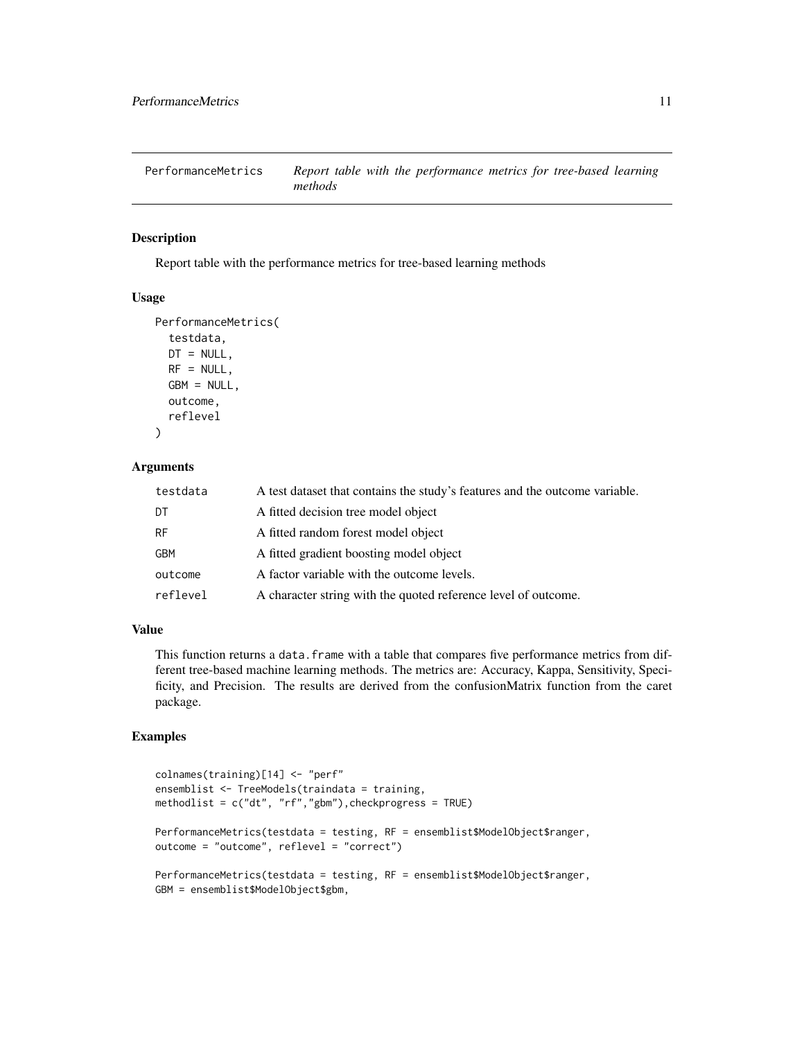<span id="page-10-0"></span>PerformanceMetrics *Report table with the performance metrics for tree-based learning methods*

## Description

Report table with the performance metrics for tree-based learning methods

#### Usage

```
PerformanceMetrics(
  testdata,
  DT = NULL,RF = NULL,GBM = NULL,
  outcome,
  reflevel
)
```
#### Arguments

| testdata  | A test dataset that contains the study's features and the outcome variable. |
|-----------|-----------------------------------------------------------------------------|
| DT        | A fitted decision tree model object                                         |
| <b>RF</b> | A fitted random forest model object                                         |
| GBM       | A fitted gradient boosting model object                                     |
| outcome   | A factor variable with the outcome levels.                                  |
| reflevel  | A character string with the quoted reference level of outcome.              |

## Value

This function returns a data. frame with a table that compares five performance metrics from different tree-based machine learning methods. The metrics are: Accuracy, Kappa, Sensitivity, Specificity, and Precision. The results are derived from the confusionMatrix function from the caret package.

```
colnames(training)[14] <- "perf"
ensemblist <- TreeModels(traindata = training,
methodlist = c("dt", "rf", "gbm"), checkprogress = TRUE)
PerformanceMetrics(testdata = testing, RF = ensemblist$ModelObject$ranger,
outcome = "outcome", reflevel = "correct")
PerformanceMetrics(testdata = testing, RF = ensemblist$ModelObject$ranger,
GBM = ensemblist$ModelObject$gbm,
```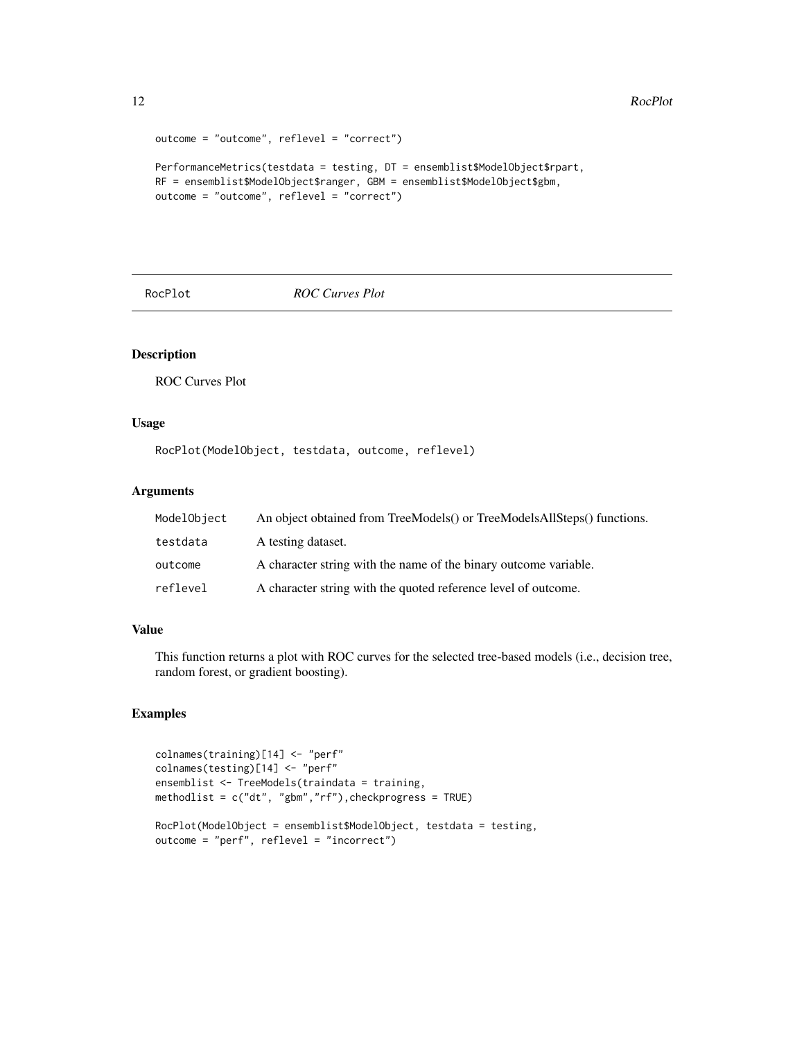```
12 RocPlot
```

```
outcome = "outcome", reflevel = "correct")
PerformanceMetrics(testdata = testing, DT = ensemblist$ModelObject$rpart,
RF = ensemblist$ModelObject$ranger, GBM = ensemblist$ModelObject$gbm,
outcome = "outcome", reflevel = "correct")
```
RocPlot *ROC Curves Plot*

## Description

ROC Curves Plot

#### Usage

RocPlot(ModelObject, testdata, outcome, reflevel)

## Arguments

| ModelObject | An object obtained from TreeModels() or TreeModelsAllSteps() functions. |
|-------------|-------------------------------------------------------------------------|
| testdata    | A testing dataset.                                                      |
| outcome     | A character string with the name of the binary outcome variable.        |
| reflevel    | A character string with the quoted reference level of outcome.          |

## Value

This function returns a plot with ROC curves for the selected tree-based models (i.e., decision tree, random forest, or gradient boosting).

```
colnames(training)[14] <- "perf"
colnames(testing)[14] <- "perf"
ensemblist <- TreeModels(traindata = training,
methodlist = c("dt", "gbm","rf"),checkprogress = TRUE)
RocPlot(ModelObject = ensemblist$ModelObject, testdata = testing,
outcome = "perf", reflevel = "incorrect")
```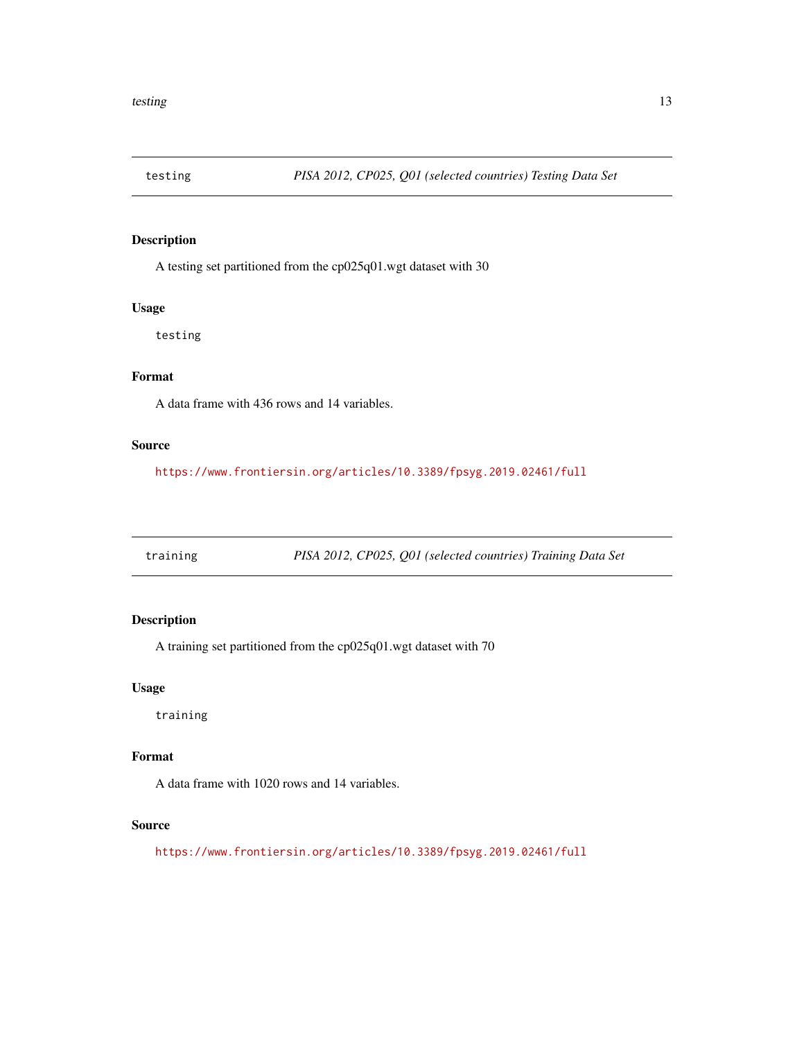<span id="page-12-0"></span>

A testing set partitioned from the cp025q01.wgt dataset with 30

#### Usage

testing

## Format

A data frame with 436 rows and 14 variables.

## Source

<https://www.frontiersin.org/articles/10.3389/fpsyg.2019.02461/full>

training *PISA 2012, CP025, Q01 (selected countries) Training Data Set*

## Description

A training set partitioned from the cp025q01.wgt dataset with 70

## Usage

training

## Format

A data frame with 1020 rows and 14 variables.

#### Source

<https://www.frontiersin.org/articles/10.3389/fpsyg.2019.02461/full>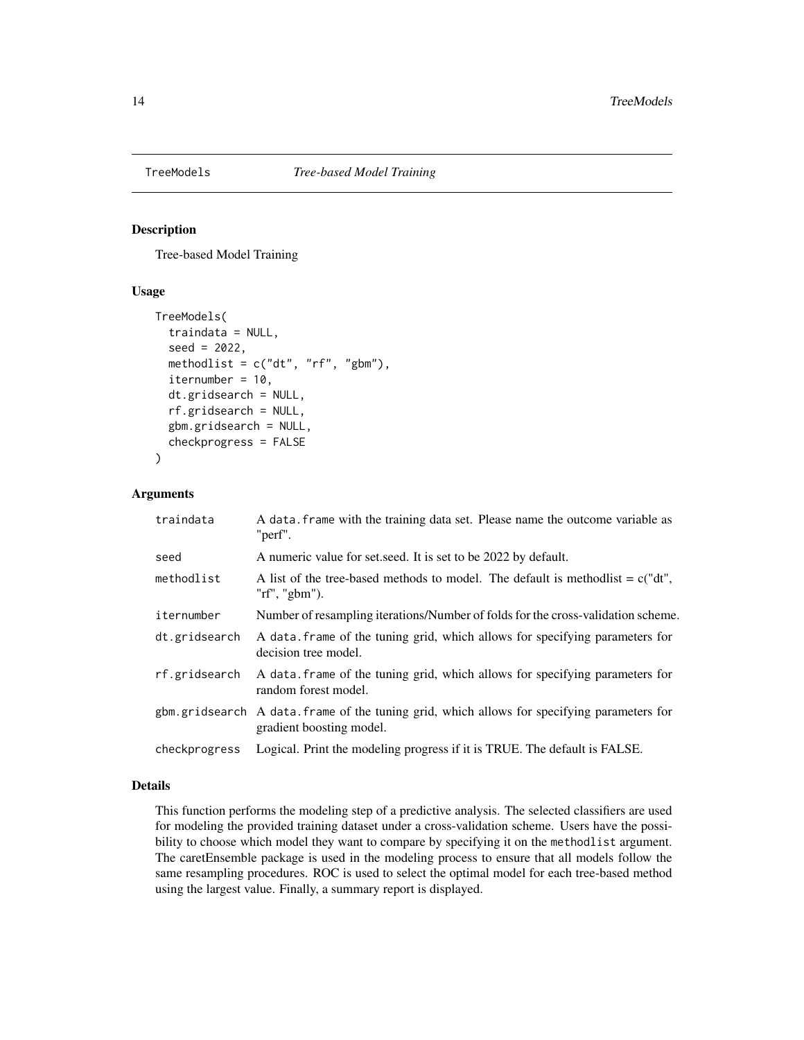<span id="page-13-0"></span>

Tree-based Model Training

## Usage

```
TreeModels(
  traindata = NULL,
  seed = 2022,
  methodlist = c("dt", "rf", "gbm"),
  iternumber = 10,
  dt.gridsearch = NULL,
  rf.gridsearch = NULL,
  gbm.gridsearch = NULL,
  checkprogress = FALSE
)
```
## Arguments

| traindata     | A data. frame with the training data set. Please name the outcome variable as<br>"perf".                               |
|---------------|------------------------------------------------------------------------------------------------------------------------|
| seed          | A numeric value for set seed. It is set to be 2022 by default.                                                         |
| methodlist    | A list of the tree-based methods to model. The default is method is $= c'' dt''$ ,<br>"rf", "gbm").                    |
| iternumber    | Number of resampling iterations/Number of folds for the cross-validation scheme.                                       |
| dt.gridsearch | A data frame of the tuning grid, which allows for specifying parameters for<br>decision tree model.                    |
| rf.gridsearch | A data frame of the tuning grid, which allows for specifying parameters for<br>random forest model.                    |
|               | gbm.gridsearch A data.frame of the tuning grid, which allows for specifying parameters for<br>gradient boosting model. |
| checkprogress | Logical. Print the modeling progress if it is TRUE. The default is FALSE.                                              |

## Details

This function performs the modeling step of a predictive analysis. The selected classifiers are used for modeling the provided training dataset under a cross-validation scheme. Users have the possibility to choose which model they want to compare by specifying it on the methodlist argument. The caretEnsemble package is used in the modeling process to ensure that all models follow the same resampling procedures. ROC is used to select the optimal model for each tree-based method using the largest value. Finally, a summary report is displayed.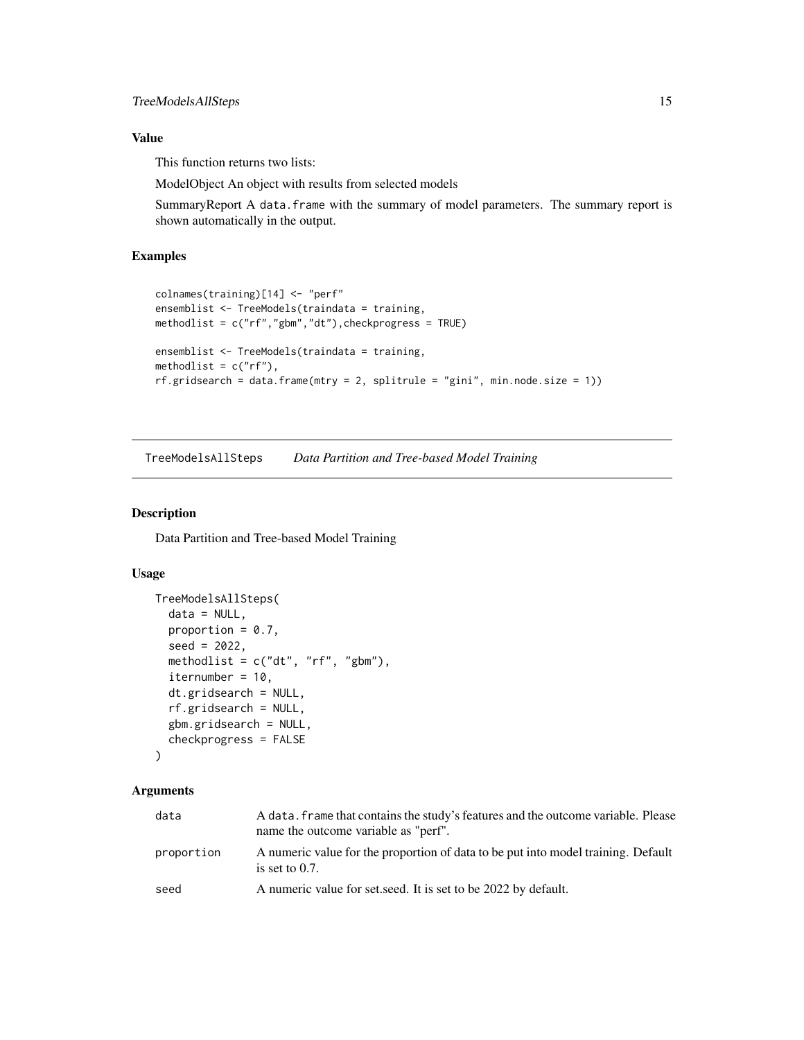## <span id="page-14-0"></span>Value

This function returns two lists:

ModelObject An object with results from selected models

SummaryReport A data.frame with the summary of model parameters. The summary report is shown automatically in the output.

## Examples

```
colnames(training)[14] <- "perf"
ensemblist <- TreeModels(traindata = training,
methodlist = c("rf","gbm","dt"),checkprogress = TRUE)
ensemblist <- TreeModels(traindata = training,
methodlist = c("rf"),rf.gridsearch = data.frame(mtry = 2, split rule = "gini", min-node.size = 1)
```
TreeModelsAllSteps *Data Partition and Tree-based Model Training*

## Description

Data Partition and Tree-based Model Training

#### Usage

```
TreeModelsAllSteps(
  data = NULL,
  proportion = 0.7,
  seed = 2022,
  methodlist = c("dt", "rf", "gbm"),
  iternumber = 10,
  dt.gridsearch = NULL,
  rf.gridsearch = NULL,
  gbm.gridsearch = NULL,
  checkprogress = FALSE
```

```
)
```
#### Arguments

| data       | A data, frame that contains the study's features and the outcome variable. Please<br>name the outcome variable as "perf". |
|------------|---------------------------------------------------------------------------------------------------------------------------|
| proportion | A numeric value for the proportion of data to be put into model training. Default<br>is set to $0.7$ .                    |
| seed       | A numeric value for set seed. It is set to be 2022 by default.                                                            |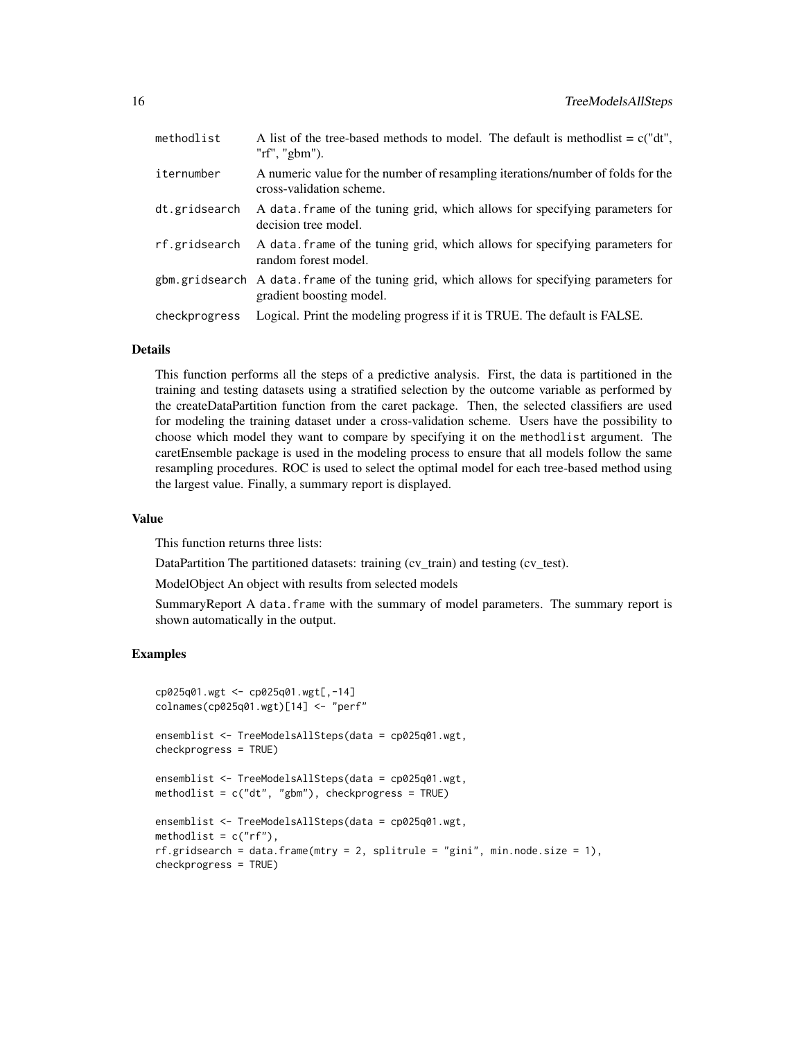| methodlist    | A list of the tree-based methods to model. The default is method is $c("dt",$<br>" $rf$ ", " $gbm$ ").                 |
|---------------|------------------------------------------------------------------------------------------------------------------------|
| iternumber    | A numeric value for the number of resampling iterations/number of folds for the<br>cross-validation scheme.            |
| dt.gridsearch | A data frame of the tuning grid, which allows for specifying parameters for<br>decision tree model.                    |
| rf.gridsearch | A data frame of the tuning grid, which allows for specifying parameters for<br>random forest model.                    |
|               | gbm.gridsearch A data.frame of the tuning grid, which allows for specifying parameters for<br>gradient boosting model. |
| checkprogress | Logical. Print the modeling progress if it is TRUE. The default is FALSE.                                              |

#### Details

This function performs all the steps of a predictive analysis. First, the data is partitioned in the training and testing datasets using a stratified selection by the outcome variable as performed by the createDataPartition function from the caret package. Then, the selected classifiers are used for modeling the training dataset under a cross-validation scheme. Users have the possibility to choose which model they want to compare by specifying it on the methodlist argument. The caretEnsemble package is used in the modeling process to ensure that all models follow the same resampling procedures. ROC is used to select the optimal model for each tree-based method using the largest value. Finally, a summary report is displayed.

#### Value

This function returns three lists:

DataPartition The partitioned datasets: training (cv\_train) and testing (cv\_test).

ModelObject An object with results from selected models

SummaryReport A data.frame with the summary of model parameters. The summary report is shown automatically in the output.

```
cp025q01.wgt <- cp025q01.wgt[,-14]
colnames(cp025q01.wgt)[14] <- "perf"
ensemblist <- TreeModelsAllSteps(data = cp025q01.wgt,
checkprogress = TRUE)
ensemblist <- TreeModelsAllSteps(data = cp025q01.wgt,
methodlist = c("dt", "gbm"), checkprogress = TRUE)
ensemblist <- TreeModelsAllSteps(data = cp025q01.wgt,
methodlist = c("rf"),
rf.gridsearch = data.fname(mtry = 2, split rule = "gini", min-node.size = 1),checkprogress = TRUE)
```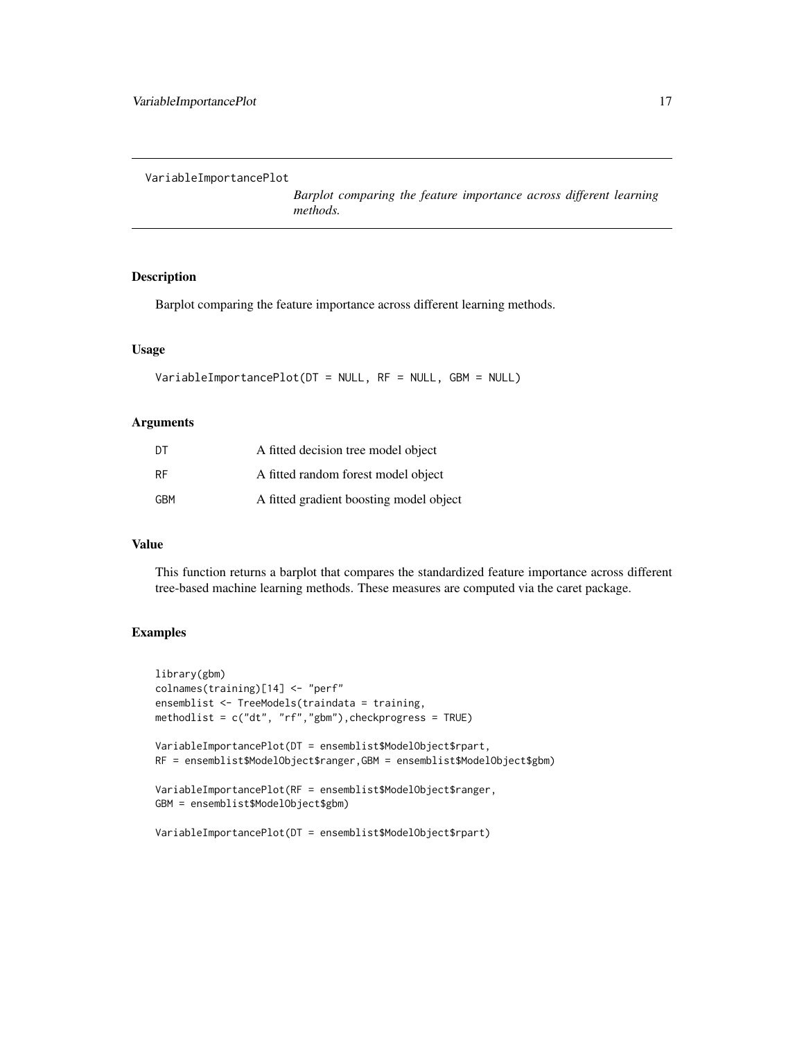<span id="page-16-0"></span>VariableImportancePlot

*Barplot comparing the feature importance across different learning methods.*

#### Description

Barplot comparing the feature importance across different learning methods.

#### Usage

```
VariableImportancePlot(DT = NULL, RF = NULL, GBM = NULL)
```
#### Arguments

| DT  | A fitted decision tree model object     |
|-----|-----------------------------------------|
| RF  | A fitted random forest model object     |
| GBM | A fitted gradient boosting model object |

#### Value

This function returns a barplot that compares the standardized feature importance across different tree-based machine learning methods. These measures are computed via the caret package.

```
library(gbm)
colnames(training)[14] <- "perf"
ensemblist <- TreeModels(traindata = training,
methodlist = c("dt", "rf", "gbm"), checkprogress = TRUE)
VariableImportancePlot(DT = ensemblist$ModelObject$rpart,
RF = ensemblist$ModelObject$ranger,GBM = ensemblist$ModelObject$gbm)
VariableImportancePlot(RF = ensemblist$ModelObject$ranger,
GBM = ensemblist$ModelObject$gbm)
VariableImportancePlot(DT = ensemblist$ModelObject$rpart)
```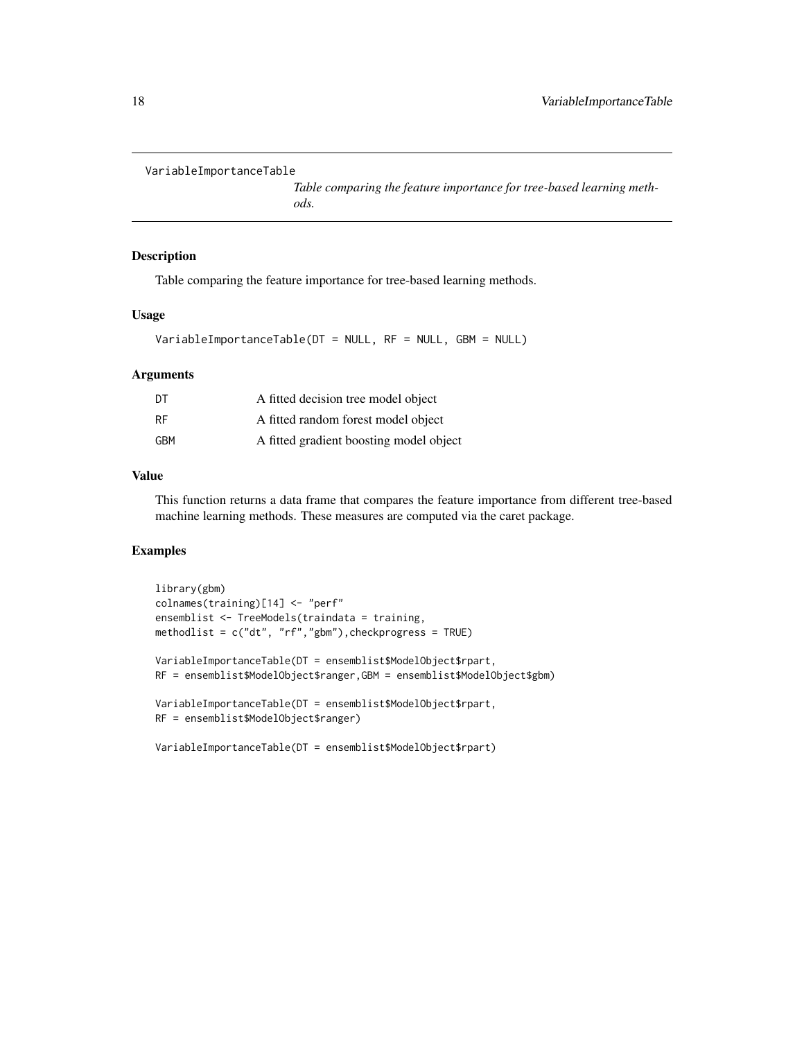```
VariableImportanceTable
```
*Table comparing the feature importance for tree-based learning methods.*

#### Description

Table comparing the feature importance for tree-based learning methods.

### Usage

VariableImportanceTable(DT = NULL, RF = NULL, GBM = NULL)

## Arguments

| DT        | A fitted decision tree model object     |
|-----------|-----------------------------------------|
| <b>RF</b> | A fitted random forest model object     |
| GBM       | A fitted gradient boosting model object |

## Value

This function returns a data frame that compares the feature importance from different tree-based machine learning methods. These measures are computed via the caret package.

```
library(gbm)
colnames(training)[14] <- "perf"
ensemblist <- TreeModels(traindata = training,
methodlist = c("dt", "rf","gbm"),checkprogress = TRUE)
VariableImportanceTable(DT = ensemblist$ModelObject$rpart,
RF = ensemblist$ModelObject$ranger,GBM = ensemblist$ModelObject$gbm)
VariableImportanceTable(DT = ensemblist$ModelObject$rpart,
RF = ensemblist$ModelObject$ranger)
VariableImportanceTable(DT = ensemblist$ModelObject$rpart)
```